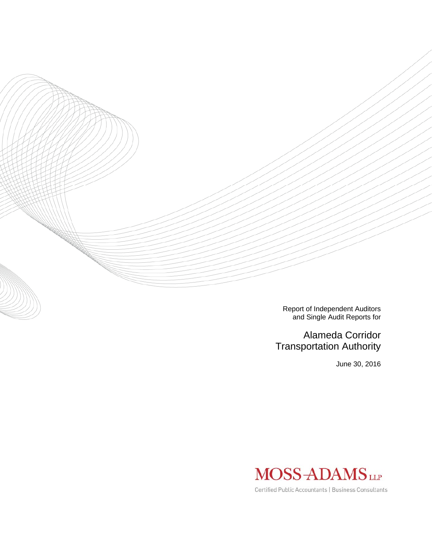

Report of Independent Auditors and Single Audit Reports for

# Alameda Corridor Transportation Authority

June 30, 2016



Certified Public Accountants | Business Consultants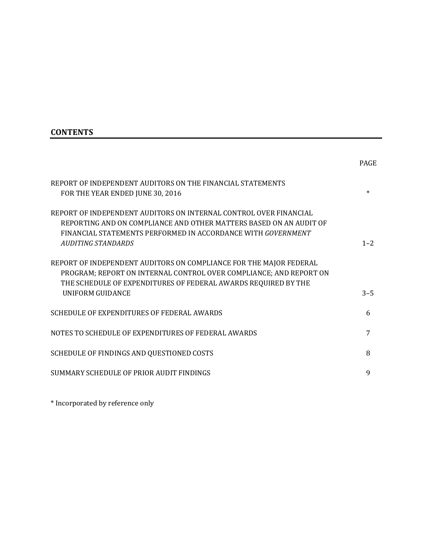## **CONTENTS**

|                                                                                                                                                                                                                                | <b>PAGE</b> |
|--------------------------------------------------------------------------------------------------------------------------------------------------------------------------------------------------------------------------------|-------------|
| REPORT OF INDEPENDENT AUDITORS ON THE FINANCIAL STATEMENTS<br>FOR THE YEAR ENDED JUNE 30, 2016                                                                                                                                 | $\ast$      |
| REPORT OF INDEPENDENT AUDITORS ON INTERNAL CONTROL OVER FINANCIAL<br>REPORTING AND ON COMPLIANCE AND OTHER MATTERS BASED ON AN AUDIT OF<br>FINANCIAL STATEMENTS PERFORMED IN ACCORDANCE WITH GOVERNMENT<br>AUDITING STANDARDS  | $1 - 2$     |
| REPORT OF INDEPENDENT AUDITORS ON COMPLIANCE FOR THE MAJOR FEDERAL<br>PROGRAM; REPORT ON INTERNAL CONTROL OVER COMPLIANCE; AND REPORT ON<br>THE SCHEDULE OF EXPENDITURES OF FEDERAL AWARDS REQUIRED BY THE<br>UNIFORM GUIDANCE | $3 - 5$     |
| SCHEDULE OF EXPENDITURES OF FEDERAL AWARDS                                                                                                                                                                                     | 6           |
| NOTES TO SCHEDULE OF EXPENDITURES OF FEDERAL AWARDS                                                                                                                                                                            | 7           |
| SCHEDULE OF FINDINGS AND QUESTIONED COSTS                                                                                                                                                                                      | 8           |
| SUMMARY SCHEDULE OF PRIOR AUDIT FINDINGS                                                                                                                                                                                       | 9           |

\* Incorporated by reference only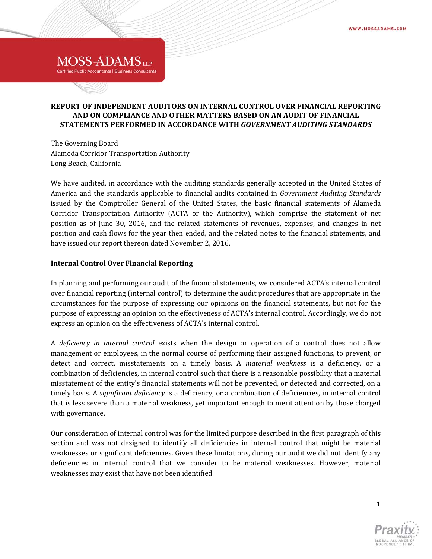### **REPORT OF INDEPENDENT AUDITORS ON INTERNAL CONTROL OVER FINANCIAL REPORTING AND ON COMPLIANCE AND OTHER MATTERS BASED ON AN AUDIT OF FINANCIAL STATEMENTS PERFORMED IN ACCORDANCE WITH** *GOVERNMENT AUDITING STANDARDS*

The Governing Board Alameda Corridor Transportation Authority Long Beach, California

MOSS-ADAMS<sub>UP</sub>

We have audited, in accordance with the auditing standards generally accepted in the United States of America and the standards applicable to financial audits contained in *Government Auditing Standards* issued by the Comptroller General of the United States, the basic financial statements of Alameda Corridor Transportation Authority (ACTA or the Authority), which comprise the statement of net position as of June 30, 2016, and the related statements of revenues, expenses, and changes in net position and cash flows for the year then ended, and the related notes to the financial statements, and have issued our report thereon dated November 2, 2016.

#### **Internal Control Over Financial Reporting**

In planning and performing our audit of the financial statements, we considered ACTA's internal control over financial reporting (internal control) to determine the audit procedures that are appropriate in the circumstances for the purpose of expressing our opinions on the financial statements, but not for the purpose of expressing an opinion on the effectiveness of ACTA's internal control. Accordingly, we do not express an opinion on the effectiveness of ACTA's internal control.

A *deficiency in internal control* exists when the design or operation of a control does not allow management or employees, in the normal course of performing their assigned functions, to prevent, or detect and correct, misstatements on a timely basis. A *material weakness* is a deficiency, or a combination of deficiencies, in internal control such that there is a reasonable possibility that a material misstatement of the entity's financial statements will not be prevented, or detected and corrected, on a timely basis. A *significant deficiency* is a deficiency, or a combination of deficiencies, in internal control that is less severe than a material weakness, yet important enough to merit attention by those charged with governance.

Our consideration of internal control was for the limited purpose described in the first paragraph of this section and was not designed to identify all deficiencies in internal control that might be material weaknesses or significant deficiencies. Given these limitations, during our audit we did not identify any deficiencies in internal control that we consider to be material weaknesses. However, material weaknesses may exist that have not been identified.

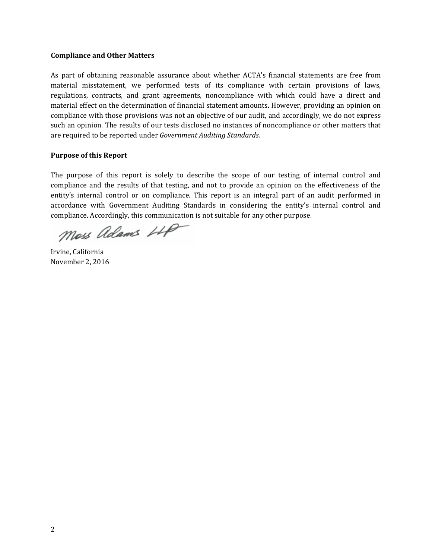#### **Compliance and Other Matters**

As part of obtaining reasonable assurance about whether ACTA's financial statements are free from material misstatement, we performed tests of its compliance with certain provisions of laws, regulations, contracts, and grant agreements, noncompliance with which could have a direct and material effect on the determination of financial statement amounts. However, providing an opinion on compliance with those provisions was not an objective of our audit, and accordingly, we do not express such an opinion. The results of our tests disclosed no instances of noncompliance or other matters that are required to be reported under *Government Auditing Standards*.

#### **Purpose of this Report**

The purpose of this report is solely to describe the scope of our testing of internal control and compliance and the results of that testing, and not to provide an opinion on the effectiveness of the entity's internal control or on compliance. This report is an integral part of an audit performed in accordance with Government Auditing Standards in considering the entity's internal control and compliance. Accordingly, this communication is not suitable for any other purpose.

Moss Adams LLP

Irvine, California November 2, 2016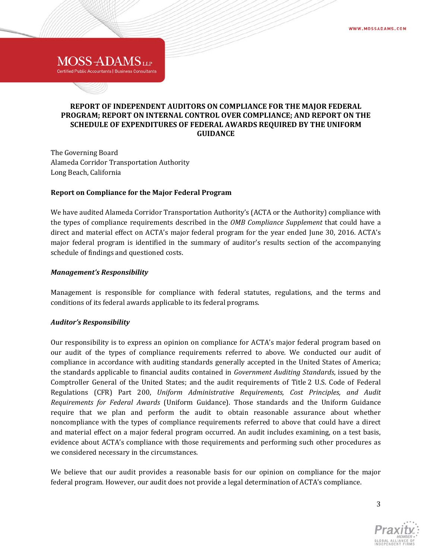## **REPORT OF INDEPENDENT AUDITORS ON COMPLIANCE FOR THE MAJOR FEDERAL PROGRAM; REPORT ON INTERNAL CONTROL OVER COMPLIANCE; AND REPORT ON THE SCHEDULE OF EXPENDITURES OF FEDERAL AWARDS REQUIRED BY THE UNIFORM GUIDANCE**

The Governing Board Alameda Corridor Transportation Authority Long Beach, California

 $\mathrm{MOSS}\rm{ADAMS}_{\rm{HP}}$ **Certified Public Accountants | Business Consultants** 

#### **Report on Compliance for the Major Federal Program**

We have audited Alameda Corridor Transportation Authority's (ACTA or the Authority) compliance with the types of compliance requirements described in the *OMB Compliance Supplement* that could have a direct and material effect on ACTA's major federal program for the year ended June 30, 2016. ACTA's major federal program is identified in the summary of auditor's results section of the accompanying schedule of findings and questioned costs.

#### *Management's Responsibility*

Management is responsible for compliance with federal statutes, regulations, and the terms and conditions of its federal awards applicable to its federal programs.

#### *Auditor's Responsibility*

Our responsibility is to express an opinion on compliance for ACTA's major federal program based on our audit of the types of compliance requirements referred to above. We conducted our audit of compliance in accordance with auditing standards generally accepted in the United States of America; the standards applicable to financial audits contained in *Government Auditing Standards*, issued by the Comptroller General of the United States; and the audit requirements of Title 2 U.S. Code of Federal Regulations (CFR) Part 200, *Uniform Administrative Requirements, Cost Principles, and Audit Requirements for Federal Awards* (Uniform Guidance). Those standards and the Uniform Guidance require that we plan and perform the audit to obtain reasonable assurance about whether noncompliance with the types of compliance requirements referred to above that could have a direct and material effect on a major federal program occurred. An audit includes examining, on a test basis, evidence about ACTA's compliance with those requirements and performing such other procedures as we considered necessary in the circumstances.

We believe that our audit provides a reasonable basis for our opinion on compliance for the major federal program. However, our audit does not provide a legal determination of ACTA's compliance.

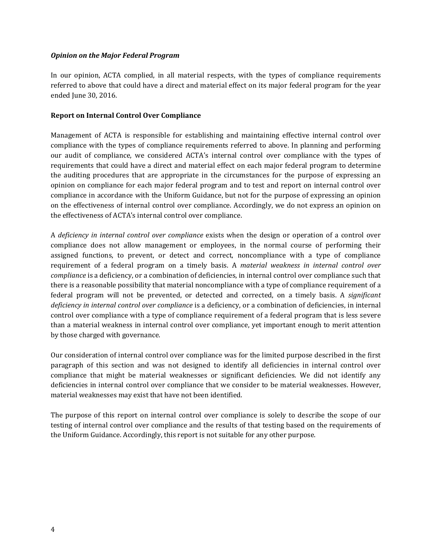#### *Opinion on the Major Federal Program*

In our opinion, ACTA complied, in all material respects, with the types of compliance requirements referred to above that could have a direct and material effect on its major federal program for the year ended June 30, 2016.

#### **Report on Internal Control Over Compliance**

Management of ACTA is responsible for establishing and maintaining effective internal control over compliance with the types of compliance requirements referred to above. In planning and performing our audit of compliance, we considered ACTA's internal control over compliance with the types of requirements that could have a direct and material effect on each major federal program to determine the auditing procedures that are appropriate in the circumstances for the purpose of expressing an opinion on compliance for each major federal program and to test and report on internal control over compliance in accordance with the Uniform Guidance, but not for the purpose of expressing an opinion on the effectiveness of internal control over compliance. Accordingly, we do not express an opinion on the effectiveness of ACTA's internal control over compliance.

A *deficiency in internal control over compliance* exists when the design or operation of a control over compliance does not allow management or employees, in the normal course of performing their assigned functions, to prevent, or detect and correct, noncompliance with a type of compliance requirement of a federal program on a timely basis. A *material weakness in internal control over compliance* is a deficiency, or a combination of deficiencies, in internal control over compliance such that there is a reasonable possibility that material noncompliance with a type of compliance requirement of a federal program will not be prevented, or detected and corrected, on a timely basis. A *significant deficiency in internal control over compliance* is a deficiency, or a combination of deficiencies, in internal control over compliance with a type of compliance requirement of a federal program that is less severe than a material weakness in internal control over compliance, yet important enough to merit attention by those charged with governance.

Our consideration of internal control over compliance was for the limited purpose described in the first paragraph of this section and was not designed to identify all deficiencies in internal control over compliance that might be material weaknesses or significant deficiencies. We did not identify any deficiencies in internal control over compliance that we consider to be material weaknesses. However, material weaknesses may exist that have not been identified.

The purpose of this report on internal control over compliance is solely to describe the scope of our testing of internal control over compliance and the results of that testing based on the requirements of the Uniform Guidance. Accordingly, this report is not suitable for any other purpose.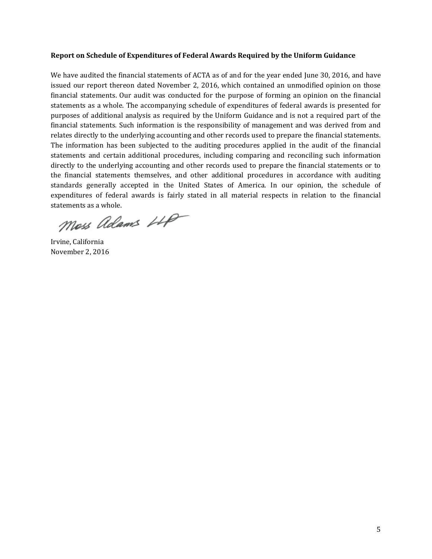#### **Report on Schedule of Expenditures of Federal Awards Required by the Uniform Guidance**

We have audited the financial statements of ACTA as of and for the year ended June 30, 2016, and have issued our report thereon dated November 2, 2016, which contained an unmodified opinion on those financial statements. Our audit was conducted for the purpose of forming an opinion on the financial statements as a whole. The accompanying schedule of expenditures of federal awards is presented for purposes of additional analysis as required by the Uniform Guidance and is not a required part of the financial statements. Such information is the responsibility of management and was derived from and relates directly to the underlying accounting and other records used to prepare the financial statements. The information has been subjected to the auditing procedures applied in the audit of the financial statements and certain additional procedures, including comparing and reconciling such information directly to the underlying accounting and other records used to prepare the financial statements or to the financial statements themselves, and other additional procedures in accordance with auditing standards generally accepted in the United States of America. In our opinion, the schedule of expenditures of federal awards is fairly stated in all material respects in relation to the financial statements as a whole.

Moss Adams LLP

Irvine, California November 2, 2016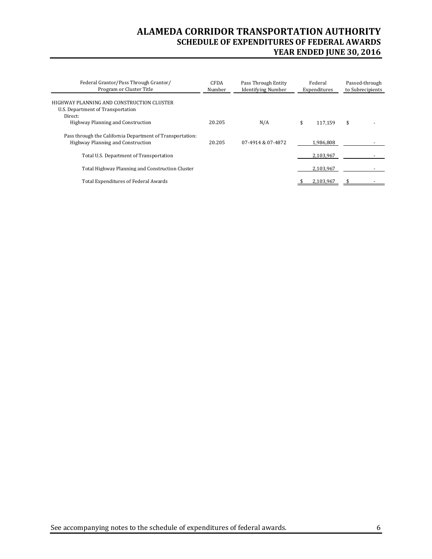## **ALAMEDA CORRIDOR TRANSPORTATION AUTHORITY SCHEDULE OF EXPENDITURES OF FEDERAL AWARDS YEAR ENDED JUNE 30, 2016**

| Federal Grantor/Pass Through Grantor/<br>Program or Cluster Title                              | <b>CFDA</b><br>Number | Pass Through Entity<br><b>Identifying Number</b> | Federal<br>Expenditures | Passed-through<br>to Subrecipients |
|------------------------------------------------------------------------------------------------|-----------------------|--------------------------------------------------|-------------------------|------------------------------------|
| HIGHWAY PLANNING AND CONSTRUCTION CLUSTER<br>U.S. Department of Transportation<br>Direct:      |                       |                                                  |                         |                                    |
| Highway Planning and Construction                                                              | 20.205                | N/A                                              | \$<br>117.159           | \$                                 |
| Pass through the California Department of Transportation:<br>Highway Planning and Construction | 20.205                | 07-4914 & 07-4872                                | 1.986.808               |                                    |
| Total U.S. Department of Transportation                                                        |                       |                                                  | 2,103,967               |                                    |
| Total Highway Planning and Construction Cluster                                                |                       |                                                  | 2.103.967               |                                    |
| Total Expenditures of Federal Awards                                                           |                       |                                                  | 2.103.967               |                                    |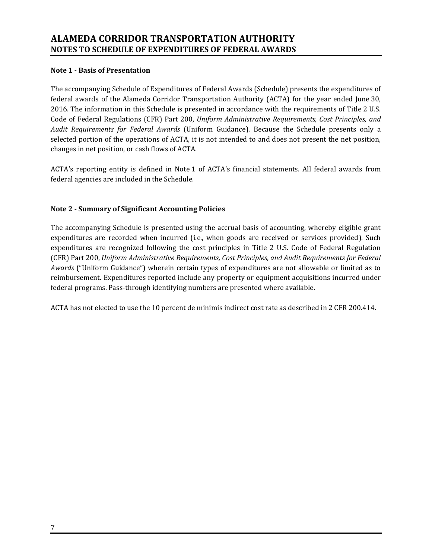## **ALAMEDA CORRIDOR TRANSPORTATION AUTHORITY NOTES TO SCHEDULE OF EXPENDITURES OF FEDERAL AWARDS**

### **Note 1 ‐ Basis of Presentation**

The accompanying Schedule of Expenditures of Federal Awards (Schedule) presents the expenditures of federal awards of the Alameda Corridor Transportation Authority (ACTA) for the year ended June 30, 2016. The information in this Schedule is presented in accordance with the requirements of Title 2 U.S. Code of Federal Regulations (CFR) Part 200, *Uniform Administrative Requirements, Cost Principles, and Audit Requirements for Federal Awards* (Uniform Guidance). Because the Schedule presents only a selected portion of the operations of ACTA, it is not intended to and does not present the net position, changes in net position, or cash flows of ACTA.

ACTA's reporting entity is defined in Note 1 of ACTA's financial statements. All federal awards from federal agencies are included in the Schedule.

### **Note 2 ‐ Summary of Significant Accounting Policies**

The accompanying Schedule is presented using the accrual basis of accounting, whereby eligible grant expenditures are recorded when incurred (i.e., when goods are received or services provided). Such expenditures are recognized following the cost principles in Title 2 U.S. Code of Federal Regulation (CFR) Part 200, *Uniform Administrative Requirements, Cost Principles, and Audit Requirements for Federal Awards* ("Uniform Guidance") wherein certain types of expenditures are not allowable or limited as to reimbursement. Expenditures reported include any property or equipment acquisitions incurred under federal programs. Pass-through identifying numbers are presented where available.

ACTA has not elected to use the 10 percent de minimis indirect cost rate as described in 2 CFR 200.414.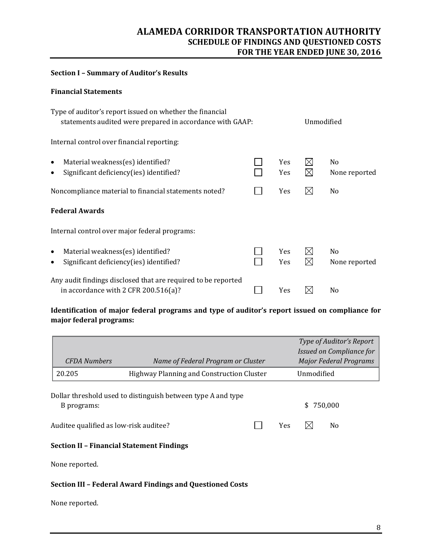## **ALAMEDA CORRIDOR TRANSPORTATION AUTHORITY SCHEDULE OF FINDINGS AND QUESTIONED COSTS FOR THE YEAR ENDED JUNE 30, 2016**

#### **Section I – Summary of Auditor's Results**

#### **Financial Statements**

| Type of auditor's report issued on whether the financial<br>statements audited were prepared in accordance with GAAP: |  |                   | Unmodified                 |                                 |  |
|-----------------------------------------------------------------------------------------------------------------------|--|-------------------|----------------------------|---------------------------------|--|
| Internal control over financial reporting:                                                                            |  |                   |                            |                                 |  |
| Material weakness(es) identified?<br>٠<br>Significant deficiency(ies) identified?<br>٠                                |  | <b>Yes</b><br>Yes | $\boxtimes$<br>$\boxtimes$ | N <sub>0</sub><br>None reported |  |
| Noncompliance material to financial statements noted?                                                                 |  | Yes               | ⊠                          | N <sub>0</sub>                  |  |
| <b>Federal Awards</b>                                                                                                 |  |                   |                            |                                 |  |
| Internal control over major federal programs:                                                                         |  |                   |                            |                                 |  |
| Material weakness(es) identified?<br>٠<br>Significant deficiency(ies) identified?<br>٠                                |  | <b>Yes</b><br>Yes | $\boxtimes$<br>$\boxtimes$ | No<br>None reported             |  |
| Any audit findings disclosed that are required to be reported<br>in accordance with 2 CFR 200.516(a)?                 |  | Yes               | IХ                         | N <sub>0</sub>                  |  |

### **Identification of major federal programs and type of auditor's report issued on compliance for major federal programs:**

|                                                                                   |                                           |     |             | Type of Auditor's Report<br>Issued on Compliance for |  |  |
|-----------------------------------------------------------------------------------|-------------------------------------------|-----|-------------|------------------------------------------------------|--|--|
| <b>CFDA</b> Numbers                                                               | Name of Federal Program or Cluster        |     |             | <b>Major Federal Programs</b>                        |  |  |
| 20.205                                                                            | Highway Planning and Construction Cluster |     |             | Unmodified                                           |  |  |
| Dollar threshold used to distinguish between type A and type<br>S.<br>B programs: |                                           |     |             | 750,000                                              |  |  |
| Auditee qualified as low-risk auditee?                                            |                                           | Yes | $\boxtimes$ | No                                                   |  |  |
| <b>Section II - Financial Statement Findings</b>                                  |                                           |     |             |                                                      |  |  |
| None reported.                                                                    |                                           |     |             |                                                      |  |  |

**Section III – Federal Award Findings and Questioned Costs**

None reported.